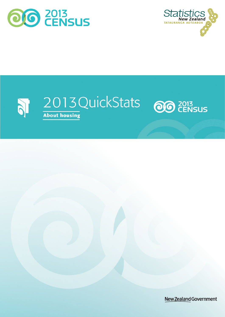



## 2013 Quick Stats og 2013 **RO About housing**

New Zealand Government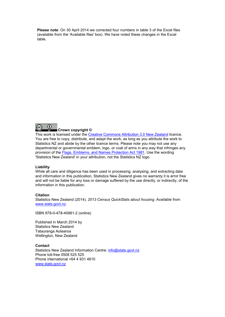**Please note**: On 30 April 2014 we corrected four numbers in table 3 of the Excel files (available from the 'Available files' box). We have noted these changes in the Excel table.



#### **[Crown copyright ©](http://creativecommons.org/licenses/by/3.0/nz/deed.en)**

This work is licensed under the [Creative Commons Attribution 3.0 New Zealand](http://creativecommons.org/licenses/by/3.0/nz/deed.en) licence. You are free to copy, distribute, and adapt the work, as long as you attribute the work to Statistics NZ and abide by the other licence terms. Please note you may not use any departmental or governmental emblem, logo, or coat of arms in any way that infringes any provision of the [Flags, Emblems, and Names Protection Act 1981.](http://www.legislation.govt.nz/act/public/1981/0047/latest/DLM51358.html) Use the wording 'Statistics New Zealand' in your attribution, not the Statistics NZ logo.

#### **Liability**

While all care and diligence has been used in processing, analysing, and extracting data and information in this publication, Statistics New Zealand gives no warranty it is error free and will not be liable for any loss or damage suffered by the use directly, or indirectly, of the information in this publication.

#### **Citation**

Statistics New Zealand (2014). 2013 Census QuickStats about housing. Available from [www.stats.govt.nz.](http://www.stats.govt.nz/)

ISBN 978-0-478-40881-2 (online)

Published in March 2014 by Statistics New Zealand Tatauranga Aotearoa Wellington, New Zealand

#### **Contact**

Statistics New Zealand Information Centre: [info@stats.govt.nz](mailto:info@stats.govt.nz) Phone toll-free 0508 525 525 Phone international +64 4 931 4610 [www.stats.govt.nz](http://www.stats.govt.nz/)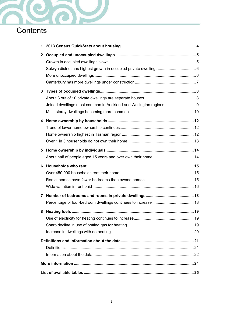

| $\mathbf{2}$ |  |
|--------------|--|
|              |  |
|              |  |
|              |  |
|              |  |
| 3            |  |
|              |  |
|              |  |
|              |  |
|              |  |
|              |  |
|              |  |
|              |  |
| 5            |  |
|              |  |
| 6            |  |
|              |  |
|              |  |
|              |  |
| 7            |  |
|              |  |
|              |  |
|              |  |
|              |  |
|              |  |
|              |  |
|              |  |
|              |  |
|              |  |
|              |  |
|              |  |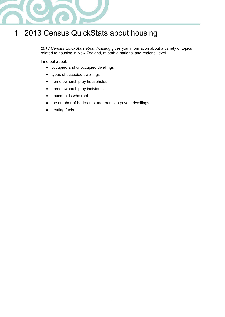

# <span id="page-3-0"></span>1 2013 Census QuickStats about housing

2013 Census QuickStats about housing gives you information about a variety of topics related to housing in New Zealand, at both a national and regional level.

Find out about:

- occupied and unoccupied dwellings
- types of occupied dwellings
- home ownership by households
- home ownership by individuals
- households who rent
- the number of bedrooms and rooms in private dwellings
- heating fuels.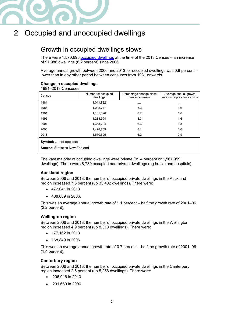

# <span id="page-4-0"></span>2 Occupied and unoccupied dwellings

## <span id="page-4-1"></span>Growth in occupied dwellings slows

There were 1,570,695 [occupied dwellings](#page-21-1) at the time of the 2013 Census – an increase of 91,986 dwellings (6.2 percent) since 2006.

Average annual growth between 2006 and 2013 for occupied dwellings was 0.9 percent – lower than in any other period between censuses from 1981 onwards.

#### **Change in occupied dwellings**

#### 1981–2013 Censuses

| Census                                | Number of occupied<br>dwellings | Percentage change since<br>previous census | Average annual growth<br>rate since previous census |  |  |  |
|---------------------------------------|---------------------------------|--------------------------------------------|-----------------------------------------------------|--|--|--|
| 1981                                  | 1,011,882                       | $\cdots$                                   | $\cdots$                                            |  |  |  |
| 1986                                  | 1,095,747                       | 8.3                                        | 1.6                                                 |  |  |  |
| 1991                                  | 1,185,396                       | 8.2                                        | 1.6                                                 |  |  |  |
| 1996                                  | 1,283,994                       | 8.3                                        | 1.6                                                 |  |  |  |
| 2001                                  | 1,368,204                       | 6.6                                        | 1.3                                                 |  |  |  |
| 2006                                  | 1,478,709                       | 8.1                                        | 1.6                                                 |  |  |  |
| 2013                                  | 1,570,695                       | 6.2                                        | 0.9                                                 |  |  |  |
| Symbol:  not applicable               |                                 |                                            |                                                     |  |  |  |
| <b>Source: Statistics New Zealand</b> |                                 |                                            |                                                     |  |  |  |

The vast majority of occupied dwellings were private (99.4 percent or 1,561,959 dwellings). There were 8,739 occupied non-private dwellings (eg hotels and hospitals).

#### Auckland region

Between 2006 and 2013, the number of occupied private dwellings in the Auckland region increased 7.6 percent (up 33,432 dwellings). There were:

- 472,041 in 2013
- 438,609 in 2006.

This was an average annual growth rate of 1.1 percent – half the growth rate of 2001–06 (2.2 percent).

#### Wellington region

Between 2006 and 2013, the number of occupied private dwellings in the Wellington region increased 4.9 percent (up 8,313 dwellings). There were:

- 177,162 in 2013
- 168,849 in 2006.

This was an average annual growth rate of 0.7 percent – half the growth rate of 2001–06 (1.4 percent).

#### Canterbury region

Between 2006 and 2013, the number of occupied private dwellings in the Canterbury region increased 2.6 percent (up 5,256 dwellings). There were:

- 206,916 in 2013
- 201,660 in 2006.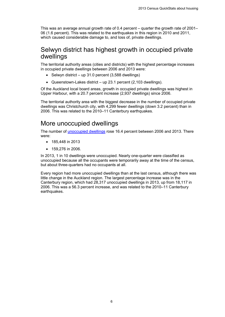This was an average annual growth rate of 0.4 percent – quarter the growth rate of 2001– 06 (1.6 percent). This was related to the earthquakes in this region in 2010 and 2011, which caused considerable damage to, and loss of, private dwellings.

### <span id="page-5-0"></span>Selwyn district has highest growth in occupied private dwellings

The territorial authority areas (cities and districts) with the highest percentage increases in occupied private dwellings between 2006 and 2013 were:

- Selwyn district up 31.0 percent (3,588 dwellings)
- Queenstown-Lakes district up 23.1 percent (2,103 dwellings).

Of the Auckland local board areas, growth in occupied private dwellings was highest in Upper Harbour, with a 20.7 percent increase (2,937 dwellings) since 2006.

The territorial authority area with the biggest decrease in the number of occupied private dwellings was Christchurch city, with 4,299 fewer dwellings (down 3.2 percent) than in 2006. This was related to the 2010–11 Canterbury earthquakes.

### <span id="page-5-1"></span>More unoccupied dwellings

The number of [unoccupied dwellings](#page-21-2) rose 16.4 percent between 2006 and 2013. There were:

- 185,448 in 2013
- 159,276 in 2006.

In 2013, 1 in 10 dwellings were unoccupied. Nearly one-quarter were classified as unoccupied because all the occupants were temporarily away at the time of the census, but about three-quarters had no occupants at all.

Every region had more unoccupied dwellings than at the last census, although there was little change in the Auckland region. The largest percentage increase was in the Canterbury region, which had 28,317 unoccupied dwellings in 2013, up from 18,117 in 2006. This was a 56.3 percent increase, and was related to the 2010–11 Canterbury earthquakes.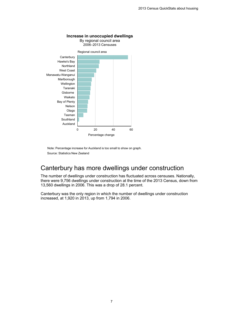

Source: Statistics New Zealand Note: Percentage increase for Auckland is too small to show on graph.

## <span id="page-6-0"></span>Canterbury has more dwellings under construction

The number of dwellings under construction has fluctuated across censuses. Nationally, there were 9,756 dwellings under construction at the time of the 2013 Census, down from 13,560 dwellings in 2006. This was a drop of 28.1 percent.

Canterbury was the only region in which the number of dwellings under construction increased, at 1,920 in 2013, up from 1,794 in 2006.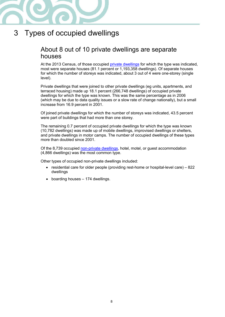

# <span id="page-7-0"></span>3 Types of occupied dwellings

### <span id="page-7-1"></span>About 8 out of 10 private dwellings are separate houses

At the 2013 Census, of those occupied [private dwellings](#page-21-3) for which the type was indicated, most were separate houses (81.1 percent or 1,193,358 dwellings). Of separate houses for which the number of storeys was indicated, about 3 out of 4 were one-storey (single level).

Private dwellings that were joined to other private dwellings (eg units, apartments, and terraced housing) made up 18.1 percent (266,748 dwellings) of occupied private dwellings for which the type was known. This was the same percentage as in 2006 (which may be due to data quality issues or a slow rate of change nationally), but a small increase from 16.9 percent in 2001.

Of joined private dwellings for which the number of storeys was indicated, 43.5 percent were part of buildings that had more than one storey.

The remaining 0.7 percent of occupied private dwellings for which the type was known (10,782 dwellings) was made up of mobile dwellings, improvised dwellings or shelters, and private dwellings in motor camps. The number of occupied dwellings of these types more than doubled since 2001.

Of the 8,739 occupied [non-private dwellings,](#page-21-4) hotel, motel, or guest accommodation (4,866 dwellings) was the most common type.

Other types of occupied non-private dwellings included:

- residential care for older people (providing rest-home or hospital-level care) 822 dwellings
- boarding houses 174 dwellings.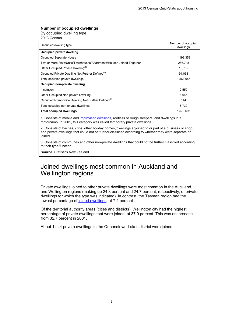#### **Number of occupied dwellings**

By occupied dwelling type 2013 Census

| Occupied dwelling type                                               | Number of occupied<br>dwellings |  |  |
|----------------------------------------------------------------------|---------------------------------|--|--|
| Occupied private dwelling                                            |                                 |  |  |
| Occupied Separate House                                              | 1,193,358                       |  |  |
| Two or More Flats/Units/Townhouses/Apartments/Houses Joined Together | 266.748                         |  |  |
| Other Occupied Private Dwelling <sup>(1)</sup>                       | 10,782                          |  |  |
| Occupied Private Dwelling Not Further Defined <sup>(2)</sup>         | 91.068                          |  |  |
| Total occupied private dwellings                                     | 1,561,956                       |  |  |
| Occupied non-private dwelling                                        |                                 |  |  |
| Institution                                                          | 2,550                           |  |  |
| Other Occupied Non-private Dwelling                                  | 6.045                           |  |  |
| Occupied Non-private Dwelling Not Further Defined <sup>(3)</sup>     | 144                             |  |  |
| Total occupied non-private dwellings                                 | 8.739                           |  |  |
| <b>Total occupied dwellings</b>                                      | 1,570,695                       |  |  |
|                                                                      |                                 |  |  |

1. Consists of mobile and [improvised dwellings,](#page-20-2) roofless or rough sleepers, and dwellings in a motorcamp. In 2001, this category was called temporary private dwellings.

2. Consists of baches, cribs, other holiday homes, dwellings adjoined to or part of a business or shop, and private dwellings that could not be further classified according to whether they were separate or joined.

3. Consists of communes and other non-private dwellings that could not be further classified according to their type/function.

<span id="page-8-0"></span>**Source:** Statistics New Zealand

### Joined dwellings most common in Auckland and Wellington regions

Private dwellings joined to other private dwellings were most common in the Auckland and Wellington regions (making up 24.8 percent and 24.7 percent, respectively, of private dwellings for which the type was indicated). In contrast, the Tasman region had the lowest percentage of [joined dwellings,](#page-21-5) at 7.4 percent.

Of the territorial authority areas (cities and districts), Wellington city had the highest percentage of private dwellings that were joined, at 37.0 percent. This was an increase from 32.7 percent in 2001.

About 1 in 4 private dwellings in the Queenstown-Lakes district were joined.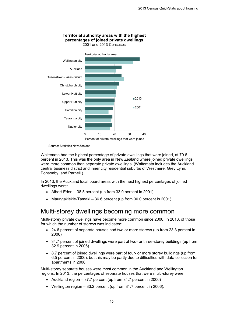

#### **Territorial authority areas with the highest percentages of joined private dwellings** 2001 and 2013 Censuses

Source: Statistics New Zealand

Waitemata had the highest percentage of private dwellings that were joined, at 70.6 percent in 2013. This was the only area in New Zealand where joined private dwellings were more common than separate private dwellings. (Waitemata includes the Auckland central business district and inner city residential suburbs of Westmere, Grey Lynn, Ponsonby, and Parnell.)

In 2013, the Auckland local board areas with the next highest percentages of joined dwellings were:

- Albert-Eden 38.5 percent (up from 33.9 percent in 2001)
- Maungakiekie-Tamaki 36.6 percent (up from 30.0 percent in 2001).

#### <span id="page-9-0"></span>Multi-storey dwellings becoming more common

Multi-storey private dwellings have become more common since 2006. In 2013, of those for which the number of storeys was indicated:

- 24.6 percent of separate houses had two or more storeys (up from 23.3 percent in 2006)
- 34.7 percent of joined dwellings were part of two- or three-storey buildings (up from 32.9 percent in 2006)
- 8.7 percent of joined dwellings were part of four- or more storey buildings (up from 6.5 percent in 2006), but this may be partly due to difficulties with data collection for apartments in 2006.

Multi-storey separate houses were most common in the Auckland and Wellington regions. In 2013, the percentages of separate houses that were multi-storey were:

- Auckland region 37.7 percent (up from 34.7 percent in 2006)
- Wellington region 33.2 percent (up from 31.7 percent in 2006).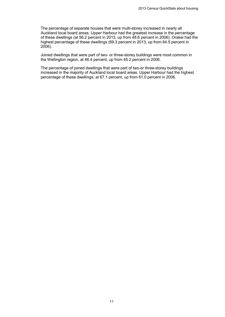The percentage of separate houses that were multi-storey increased in nearly all Auckland local board areas. Upper Harbour had the greatest increase in the percentage of these dwellings (at 56.2 percent in 2013, up from 48.6 percent in 2006). Orakei had the highest percentage of these dwellings (69.3 percent in 2013, up from 64.5 percent in 2006).

Joined dwellings that were part of two- or three-storey buildings were most common in the Wellington region, at 46.4 percent, up from 45.2 percent in 2006.

The percentage of joined dwellings that were part of two-or three-storey buildings increased in the majority of Auckland local board areas. Upper Harbour had the highest percentage of these dwellings, at 67.1 percent, up from 61.0 percent in 2006.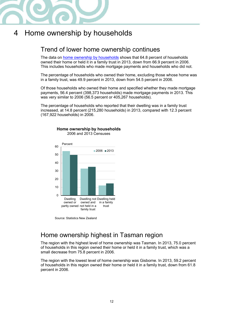

## <span id="page-11-0"></span>4 Home ownership by households

### <span id="page-11-1"></span>Trend of lower home ownership continues

The data on [home ownership by households](#page-20-3) shows that 64.8 percent of households owned their home or held it in a family trust in 2013, down from 66.9 percent in 2006. This includes households who made mortgage payments and households who did not.

The percentage of households who owned their home, excluding those whose home was in a family trust, was 49.9 percent in 2013, down from 54.5 percent in 2006.

Of those households who owned their home and specified whether they made mortgage payments, 56.4 percent (398,373 households) made mortgage payments in 2013. This was very similar to 2006 (56.5 percent or 405,267 households).

The percentage of households who reported that their dwelling was in a family trust increased, at 14.8 percent (215,280 households) in 2013, compared with 12.3 percent (167,922 households) in 2006.



#### **Home ownership by households** 2006 and 2013 Censuses

Source: Statistics New Zealand

## <span id="page-11-2"></span>Home ownership highest in Tasman region

The region with the highest level of home ownership was Tasman. In 2013, 75.0 percent of households in this region owned their home or held it in a family trust, which was a small decrease from 75.8 percent in 2006.

The region with the lowest level of home ownership was Gisborne. In 2013, 59.2 percent of households in this region owned their home or held it in a family trust, down from 61.8 percent in 2006.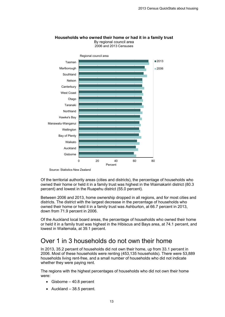

#### **Households who owned their home or had it in a family trust** By regional council area 2006 and 2013 Censuses

Of the territorial authority areas (cities and districts), the percentage of households who owned their home or held it in a family trust was highest in the Waimakariri district (80.3 percent) and lowest in the Ruapehu district (55.0 percent).

Between 2006 and 2013, home ownership dropped in all regions, and for most cities and districts. The district with the largest decrease in the percentage of households who owned their home or held it in a family trust was Ashburton, at 66.7 percent in 2013, down from 71.9 percent in 2006.

Of the Auckland local board areas, the percentage of households who owned their home or held it in a family trust was highest in the Hibiscus and Bays area, at 74.1 percent, and lowest in Waitemata, at 39.1 percent.

### <span id="page-12-0"></span>Over 1 in 3 households do not own their home

In 2013, 35.2 percent of households did not own their home, up from 33.1 percent in 2006. Most of these households were renting (453,135 households). There were 53,889 households living rent-free, and a small number of households who did not indicate whether they were paying rent.

The regions with the highest percentages of households who did not own their home were:

- Gisborne 40.8 percent
- Auckland 38.5 percent.

Source: Statistics New Zealand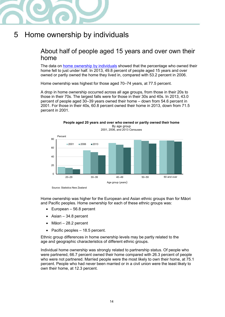

## <span id="page-13-0"></span>5 Home ownership by individuals

### <span id="page-13-1"></span>About half of people aged 15 years and over own their home

The data on [home ownership by](#page-20-4) individuals showed that the percentage who owned their home fell to just under half. In 2013, 49.8 percent of people aged 15 years and over owned or partly owned the home they lived in, compared with 53.2 percent in 2006.

Home ownership was highest for those aged 70–74 years, at 77.5 percent.

A drop in home ownership occurred across all age groups, from those in their 20s to those in their 70s. The largest falls were for those in their 30s and 40s. In 2013, 43.0 percent of people aged 30–39 years owned their home – down from 54.6 percent in 2001. For those in their 40s, 60.8 percent owned their home in 2013, down from 71.5 percent in 2001.

**People aged 20 years and over who owned or partly owned their home**



Source: Statistics New Zealand

Home ownership was higher for the European and Asian ethnic groups than for Māori and Pacific peoples. Home ownership for each of these ethnic groups was:

- European 56.8 percent
- Asian 34.8 percent
- Māori 28.2 percent
- Pacific peoples 18.5 percent.

Ethnic group differences in home ownership levels may be partly related to the age and geographic characteristics of different ethnic groups.

Individual home ownership was strongly related to partnership status. Of people who were partnered, 66.7 percent owned their home compared with 26.3 percent of people who were not partnered. Married people were the most likely to own their home, at 75.1 percent. People who had never been married or in a civil union were the least likely to own their home, at 12.3 percent.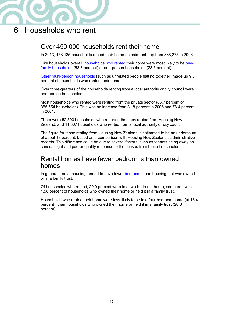

## <span id="page-14-0"></span>6 Households who rent

## <span id="page-14-1"></span>Over 450,000 households rent their home

In 2013, 453,135 households rented their home (ie paid rent), up from 388,275 in 2006.

Like households overall, [households](#page-20-5) who rented their home were most likely to be [one](#page-21-6)family [households](#page-21-6) (63.3 percent) or one-person households (23.5 percent).

[Other multi-person households](#page-21-7) (such as unrelated people flatting together) made up 9.3 percent of households who rented their home.

Over three-quarters of the households renting from a local authority or city council were one-person households.

Most households who rented were renting from the private sector (83.7 percent or 355,554 households). This was an increase from 81.8 percent in 2006 and 78.4 percent in 2001.

There were 52,503 households who reported that they rented from Housing New Zealand, and 11,307 households who rented from a local authority or city council.

The figure for those renting from Housing New Zealand is estimated to be an undercount of about 18 percent, based on a comparison with Housing New Zealand's administrative records. This difference could be due to several factors, such as tenants being away on census night and poorer quality response to the census from these households.

#### <span id="page-14-2"></span>Rental homes have fewer bedrooms than owned homes

In general, rental housing tended to have fewer [bedrooms](#page-20-6) than housing that was owned or in a family trust.

Of households who rented, 29.0 percent were in a two-bedroom home, compared with 13.8 percent of households who owned their home or held it in a family trust.

Households who rented their home were less likely to be in a four-bedroom home (at 13.4 percent), than households who owned their home or held it in a family trust (28.8 percent).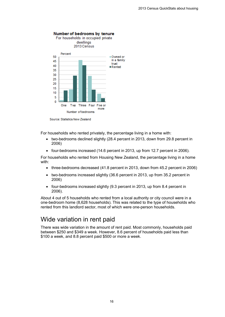

Source: Statistics New Zealand

For households who rented privately, the percentage living in a home with:

- two-bedrooms declined slightly (28.4 percent in 2013, down from 29.8 percent in 2006)
- four-bedrooms increased (14.6 percent in 2013, up from 12.7 percent in 2006).

For households who rented from Housing New Zealand, the percentage living in a home with:

- three-bedrooms decreased (41.8 percent in 2013, down from 45.2 percent in 2006)
- two-bedrooms increased slightly (36.6 percent in 2013, up from 35.2 percent in 2006)
- four-bedrooms increased slightly (9.3 percent in 2013, up from 8.4 percent in 2006).

About 4 out of 5 households who rented from a local authority or city council were in a one-bedroom home (8,628 households). This was related to the type of households who rented from this landlord sector, most of which were one-person households.

### <span id="page-15-0"></span>Wide variation in rent paid

There was wide variation in the amount of rent paid. Most commonly, households paid between \$250 and \$349 a week. However, 8.6 percent of households paid less than \$100 a week, and 8.8 percent paid \$500 or more a week.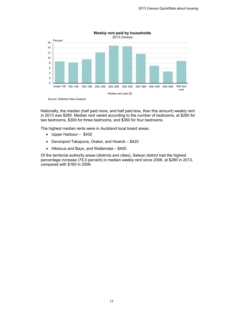

#### Weekly rent paid by households

Source: Statistics New Zealand

Nationally, the median (half paid more, and half paid less, than this amount) weekly rent in 2013 was \$280. Median rent varied according to the number of bedrooms, at \$260 for two bedrooms, \$300 for three bedrooms, and \$360 for four bedrooms.

The highest median rents were in Auckland local board areas:

- Upper Harbour \$430
- Devonport-Takapuna, Orakei, and Howick \$420
- Hibiscus and Bays, and Waitemata \$400.

Of the territorial authority areas (districts and cities), Selwyn district had the highest percentage increase (75.0 percent) in median weekly rent since 2006, at \$280 in 2013, compared with \$160 in 2006.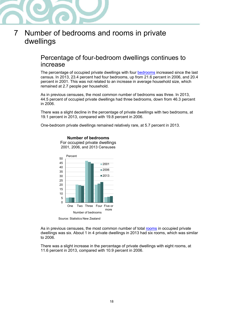

## <span id="page-17-0"></span>7 Number of bedrooms and rooms in private dwellings

### <span id="page-17-1"></span>Percentage of four-bedroom dwellings continues to increase

The percentage of occupied private dwellings with four [bedrooms](#page-20-6) increased since the last census. In 2013, 23.4 percent had four bedrooms, up from 21.6 percent in 2006, and 20.4 percent in 2001. This was not related to an increase in average household size, which remained at 2.7 people per household.

As in previous censuses, the most common number of bedrooms was three. In 2013, 44.5 percent of occupied private dwellings had three bedrooms, down from 46.3 percent in 2006.

There was a slight decline in the percentage of private dwellings with two bedrooms, at 19.1 percent in 2013, compared with 19.8 percent in 2006.

One-bedroom private dwellings remained relatively rare, at 5.7 percent in 2013.



**Number of bedrooms** For occupied private dwellings

2001, 2006, and 2013 Censuses

As in previous censuses, the most common number of total [rooms](#page-21-8) in occupied private dwellings was six. About 1 in 4 private dwellings in 2013 had six rooms, which was similar to 2006.

There was a slight increase in the percentage of private dwellings with eight rooms, at 11.6 percent in 2013, compared with 10.9 percent in 2006.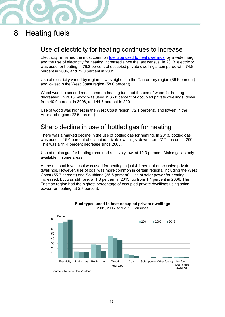

# <span id="page-18-0"></span>8 Heating fuels

### <span id="page-18-1"></span>Use of electricity for heating continues to increase

Electricity remained the most common [fuel type used to heat dwellings,](#page-20-7) by a wide margin, and the use of electricity for heating increased since the last census. In 2013, electricity was used for heating in 79.2 percent of occupied private dwellings, compared with 74.8 percent in 2006, and 72.0 percent in 2001.

Use of electricity varied by region. It was highest in the Canterbury region (89.9 percent) and lowest in the West Coast region (58.0 percent).

Wood was the second most common heating fuel, but the use of wood for heating decreased. In 2013, wood was used in 36.8 percent of occupied private dwellings, down from 40.9 percent in 2006, and 44.7 percent in 2001.

Use of wood was highest in the West Coast region (72.1 percent), and lowest in the Auckland region (22.5 percent).

### <span id="page-18-2"></span>Sharp decline in use of bottled gas for heating

There was a marked decline in the use of bottled gas for heating. In 2013, bottled gas was used in 15.4 percent of occupied private dwellings, down from 27.7 percent in 2006. This was a 41.4 percent decrease since 2006.

Use of mains gas for heating remained relatively low, at 12.0 percent. Mains gas is only available in some areas.

At the national level, coal was used for heating in just 4.1 percent of occupied private dwellings. However, use of coal was more common in certain regions, including the West Coast (55.7 percent) and Southland (35.5 percent). Use of solar power for heating increased, but was still rare, at 1.6 percent in 2013, up from 1.1 percent in 2006. The Tasman region had the highest percentage of occupied private dwellings using solar power for heating, at 3.7 percent.





Source: Statistics New Zealand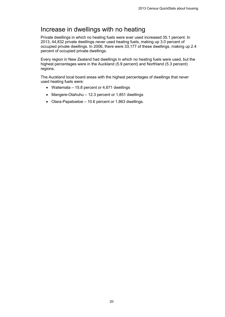### <span id="page-19-0"></span>Increase in dwellings with no heating

Private dwellings in which no heating fuels were ever used increased 35.1 percent. In 2013, 44,832 private dwellings never used heating fuels, making up 3.0 percent of occupied private dwellings. In 2006, there were 33,177 of these dwellings, making up 2.4 percent of occupied private dwellings.

Every region in New Zealand had dwellings in which no heating fuels were used, but the highest percentages were in the Auckland (5.9 percent) and Northland (5.3 percent) regions.

The Auckland local board areas with the highest percentages of dwellings that never used heating fuels were:

- Waitemata 15.8 percent or 4,671 dwellings
- Mangere-Otahuhu 12.3 percent or 1,851 dwellings
- Otara-Papatoetoe 10.6 percent or 1,863 dwellings.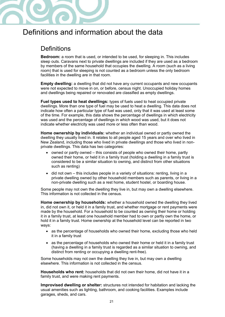

# <span id="page-20-0"></span>Definitions and information about the data

## <span id="page-20-1"></span>**Definitions**

<span id="page-20-6"></span>Bedroom: a room that is used, or intended to be used, for sleeping in. This includes sleep outs. Caravans next to private dwellings are included if they are used as a bedroom by members of the same household that occupies the dwelling. A room (such as a living room) that is used for sleeping is not counted as a bedroom unless the only bedroom facilities in the dwelling are in that room.

Empty dwelling: a dwelling that did not have any current occupants and new occupants were not expected to move in on, or before, census night. Unoccupied holiday homes and dwellings being repaired or renovated are classified as empty dwellings.

<span id="page-20-7"></span>Fuel types used to heat dwellings: types of fuels used to heat occupied private dwellings. More than one type of fuel may be used to heat a dwelling. This data does not indicate how often a particular type of fuel was used, only that it was used at least some of the time. For example, this data shows the percentage of dwellings in which electricity was used and the percentage of dwellings in which wood was used, but it does not indicate whether electricity was used more or less often than wood.

<span id="page-20-4"></span>Home ownership by individuals: whether an individual owned or partly owned the dwelling they usually lived in. It relates to all people aged 15 years and over who lived in New Zealand, including those who lived in private dwellings and those who lived in nonprivate dwellings. This data has two categories:

- owned or partly owned this consists of people who owned their home, partly owned their home, or held it in a family trust (holding a dwelling in a family trust is considered to be a similar situation to owning, and distinct from other situations such as renting)
- $\bullet$  did not own this includes people in a variety of situations: renting, living in a private dwelling owned by other household members such as parents, or living in a non-private dwelling such as a rest home, student hostel, or boarding house.

Some people may not own the dwelling they live in, but may own a dwelling elsewhere. This information is not collected in the census.

<span id="page-20-3"></span>Home ownership by households: whether a household owned the dwelling they lived in, did not own it, or held it in a family trust, and whether mortgage or rent payments were made by the household. For a household to be counted as owning their home or holding it in a family trust, at least one household member had to own or partly own the home, or hold it in a family trust. Home ownership at the household level can be reported in two ways:

- as the percentage of households who owned their home, excluding those who held it in a family trust
- as the percentage of households who owned their home or held it in a family trust (having a dwelling in a family trust is regarded as a similar situation to owning, and distinct from renting or occupying a dwelling rent-free).

Some households may not own the dwelling they live in, but may own a dwelling elsewhere. This information is not collected in the census.

<span id="page-20-5"></span>Households who rent: households that did not own their home, did not have it in a family trust, and were making rent payments.

<span id="page-20-2"></span>Improvised dwelling or shelter: structures not intended for habitation and lacking the usual amenities such as lighting, bathroom, and cooking facilities. Examples include garages, sheds, and cars.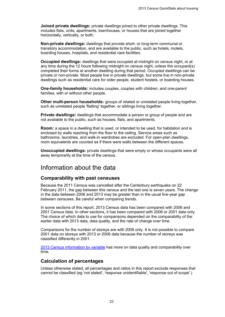<span id="page-21-5"></span>Joined private dwellings: private dwellings joined to other private dwellings. This includes flats, units, apartments, townhouses, or houses that are joined together horizontally, vertically, or both.

<span id="page-21-4"></span>Non-private dwellings: dwellings that provide short- or long-term communal or transitory accommodation, and are available to the public, such as hotels, motels, boarding houses, hospitals, and residential care facilities.

<span id="page-21-1"></span>Occupied dwellings: dwellings that were occupied at midnight on census night, or at any time during the 12 hours following midnight on census night, unless the occupant(s) completed their forms at another dwelling during that period. Occupied dwellings can be private or non-private. Most people live in private dwellings, but some live in non-private dwellings such as residential care for older people, student hostels, or boarding houses.

<span id="page-21-6"></span>One-family households: includes couples, couples with children, and one-parent families, with or without other people.

<span id="page-21-7"></span>Other multi-person households: groups of related or unrelated people living together, such as unrelated people 'flatting' together, or siblings living together.

<span id="page-21-3"></span>**Private dwellings:** dwellings that accommodate a person or group of people and are not available to the public, such as houses, flats, and apartments.

<span id="page-21-8"></span>Room: a space in a dwelling that is used, or intended to be used, for habitation and is enclosed by walls reaching from the floor to the ceiling. Service areas such as bathrooms, laundries, and walk-in wardrobes are excluded. For open-plan dwellings, room equivalents are counted as if there were walls between the different spaces.

<span id="page-21-2"></span>Unoccupied dwellings: private dwellings that were empty or whose occupants were all away temporarily at the time of the census.

### <span id="page-21-0"></span>Information about the data

#### **Comparability with past censuses**

Because the 2011 Census was cancelled after the Canterbury earthquake on 22 February 2011, the gap between this census and the last one is seven years. The change in the data between 2006 and 2013 may be greater than in the usual five-year gap between censuses. Be careful when comparing trends.

In some sections of this report, 2013 Census data has been compared with 2006 and 2001 Census data. In other sections, it has been compared with 2006 or 2001 data only. The choice of which data to use for comparisons depended on the comparability of the earlier data with 2013 data, data quality, and the rate of change over time.

Comparisons for the number of storeys are with 2006 only. It is not possible to compare 2001 data on storeys with 2013 or 2006 data because the number of storeys was classified differently in 2001.

[2013 Census information by variable](http://www.stats.govt.nz/Census/2013-census/info-about-2013-census-data/information-by-variable.aspx) has more on data quality and comparability over time.

#### **Calculation of percentages**

Unless otherwise stated, all percentages and ratios in this report exclude responses that cannot be classified (eg 'not stated', 'response unidentifiable', 'response out of scope'.)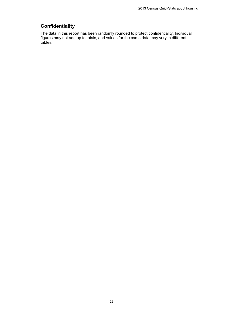#### **Confidentiality**

The data in this report has been randomly rounded to protect confidentiality. Individual figures may not add up to totals, and values for the same data may vary in different tables.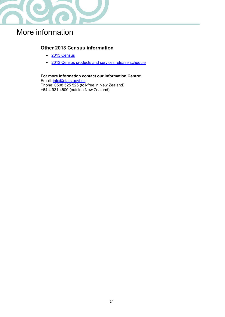

# <span id="page-23-0"></span>More information

#### **Other 2013 Census information**

- [2013 Census](http://www.stats.govt.nz/Census/2013-census.aspx)
- [2013 Census products and services release schedule](http://www.stats.govt.nz/Census/2013-census/release-schedule.aspx)

#### For more information contact our Information Centre:

Email: [info@stats.govt.nz](mailto:info@stats.govt.nz)  Phone: 0508 525 525 (toll-free in New Zealand) +64 4 931 4600 (outside New Zealand)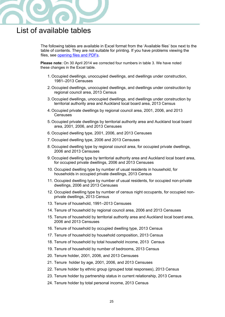

## <span id="page-24-0"></span>List of available tables

The following tables are available in Excel format from the 'Available files' box next to the table of contents. They are not suitable for printing. If you have problems viewing the files, se[e](http://www.stats.govt.nz/about_us/about-this-site/help/with-technical-issues.aspx#files) [opening files and PDFs](http://www.stats.govt.nz/about_us/about-this-site/help/with-technical-issues.aspx%23files)[.](http://www.stats.govt.nz/about_us/about-this-site/help/with-technical-issues.aspx#files) 

**Please note:** On 30 April 2014 we corrected four numbers in table 3. We have noted these changes in the Excel table.

- 1. Occupied dwellings, unoccupied dwellings, and dwellings under construction, 1981–2013 Censuses
- 2. Occupied dwellings, unoccupied dwellings, and dwellings under construction by regional council area, 2013 Census
- 3. Occupied dwellings, unoccupied dwellings, and dwellings under construction by territorial authority area and Auckland local board area, 2013 Census
- 4. Occupied private dwellings by regional council area, 2001, 2006, and 2013 Censuses
- 5. Occupied private dwellings by territorial authority area and Auckland local board area, 2001, 2006, and 2013 Censuses
- 6. Occupied dwelling type, 2001, 2006, and 2013 Censuses
- 7. Occupied dwelling type, 2006 and 2013 Censuses
- 8. Occupied dwelling type by regional council area, for occupied private dwellings, 2006 and 2013 Censuses
- 9. Occupied dwelling type by territorial authority area and Auckland local board area, for occupied private dwellings, 2006 and 2013 Censuses
- 10. Occupied dwelling type by number of usual residents in household, for households in occupied private dwellings, 2013 Census
- 11. Occupied dwelling type by number of usual residents, for occupied non-private dwellings, 2006 and 2013 Censuses
- 12. Occupied dwelling type by number of census night occupants, for occupied nonprivate dwellings, 2013 Census
- 13. Tenure of household, 1991–2013 Censuses
- 14. Tenure of household by regional council area, 2006 and 2013 Censuses
- 15. Tenure of household by territorial authority area and Auckland local board area, 2006 and 2013 Censuses
- 16. Tenure of household by occupied dwelling type, 2013 Census
- 17. Tenure of household by household composition, 2013 Census
- 18. Tenure of household by total household income, 2013 Census
- 19. Tenure of household by number of bedrooms, 2013 Census
- 20. Tenure holder, 2001, 2006, and 2013 Censuses
- 21. Tenure holder by age, 2001, 2006, and 2013 Censuses
- 22. Tenure holder by ethnic group (grouped total responses), 2013 Census
- 23. Tenure holder by partnership status in current relationship, 2013 Census
- 24. Tenure holder by total personal income, 2013 Census